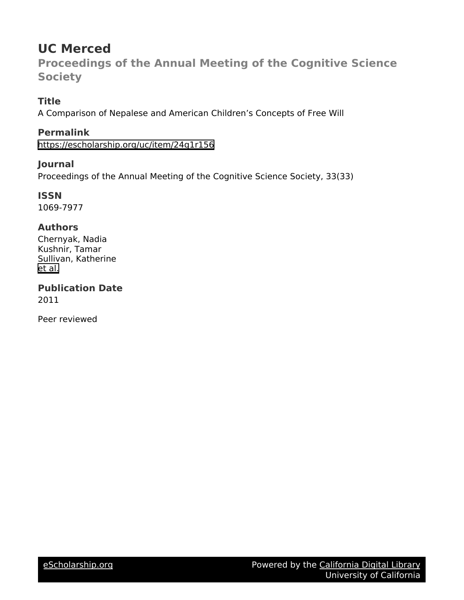# **UC Merced**

**Proceedings of the Annual Meeting of the Cognitive Science Society**

# **Title**

A Comparison of Nepalese and American Children's Concepts of Free Will

# **Permalink**

<https://escholarship.org/uc/item/24g1r156>

# **Journal**

Proceedings of the Annual Meeting of the Cognitive Science Society, 33(33)

**ISSN** 1069-7977

# **Authors**

Chernyak, Nadia Kushnir, Tamar Sullivan, Katherine [et al.](https://escholarship.org/uc/item/24g1r156#author)

**Publication Date** 2011

Peer reviewed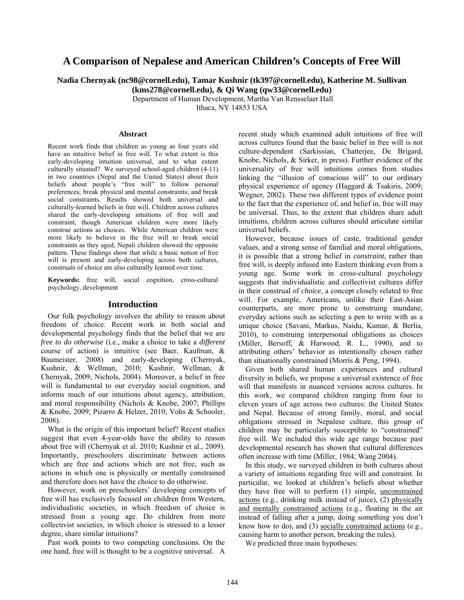# **A Comparison of Nepalese and American Children's Concepts of Free Will**

**Nadia Chernyak (nc98@cornell.edu), Tamar Kushnir (tk397@cornell.edu), Katherine M. Sullivan** 

**(kms278@cornell.edu), & Qi Wang (qw33@cornell.edu)** 

Department of Human Development, Martha Van Rensselaer Hall

Ithaca, NY 14853 USA

#### **Abstract**

Recent work finds that children as young as four years old have an intuitive belief in free will. To what extent is this early-developing intuition universal, and to what extent culturally situated? We surveyed school-aged children (4-11) in two countries (Nepal and the United States) about their beliefs about people's "free will" to follow personal preferences; break physical and mental constraints; and break social constraints. Results showed both universal and culturally-learned beliefs in free will. Children across cultures shared the early-developing intuitions of free will and constraint, though American children were more likely construe actions as choices. While American children were more likely to believe in the free will to break social constraints as they aged, Nepali children showed the opposite pattern. These findings show that while a basic notion of free will is present and early-developing across both cultures, construals of choice are also culturally learned over time.

**Keywords:** free will, social cognition, cross-cultural psychology, development

## **Introduction**

Our folk psychology involves the ability to reason about freedom of choice. Recent work in both social and developmental psychology finds that the belief that we are *free to do otherwise* (i.e., make a choice to take a *different* course of action) is intuitive (see Baer, Kaufman, & Baumeister, 2008) and early-developing (Chernyak, Kushnir, & Wellman, 2010; Kushnir, Wellman, & Chernyak, 2009; Nichols, 2004). Moreover, a belief in free will is fundamental to our everyday social cognition, and informs much of our intuitions about agency, attribution, and moral responsibility (Nichols & Knobe, 2007; Phillips & Knobe, 2009; Pizarro & Helzer, 2010; Vohs & Schooler, 2008).

What is the origin of this important belief? Recent studies suggest that even 4-year-olds have the ability to reason about free will (Chernyak et al. 2010; Kushnir et al., 2009). Importantly, preschoolers discriminate between actions which are free and actions which are not free, such as actions in which one is physically or mentally constrained and therefore does not have the choice to do otherwise.

However, work on preschoolers' developing concepts of free will has exclusively focused on children from Western, individualistic societies, in which freedom of choice is stressed from a young age. Do children from more collectivist societies, in which choice is stressed to a lesser degree, share similar intuitions?

Past work points to two competing conclusions. On the one hand, free will is thought to be a cognitive universal. A recent study which examined adult intuitions of free will across cultures found that the basic belief in free will is not culture-dependent (Sarkissian, Chatterjee, De Brigard, Knobe, Nichols, & Sirker, in press). Further evidence of the universality of free will intuitions comes from studies linking the "illusion of conscious will" to our ordinary physical experience of agency (Haggard & Tsakiris, 2009; Wegner, 2002). These two different types of evidence point to the fact that the experience of, and belief in, free will may be universal. Thus, to the extent that children share adult intuitions, children across cultures should articulate similar universal beliefs.

However, because issues of caste, traditional gender values, and a strong sense of familial and moral obligations, it is possible that a strong belief in *constraint*, rather than free will, is deeply infused into Eastern thinking even from a young age. Some work in cross-cultural psychology suggests that individualistic and collectivist cultures differ in their construal of *choice*, a concept closely related to free will. For example, Americans, unlike their East-Asian counterparts, are more prone to construing mundane, everyday actions such as selecting a pen to write with as a unique choice (Savani, Markus, Naidu, Kumar, & Berlia, 2010), to construing interpersonal obligations as choices (Miller, Bersoff, & Harwood, R. L., 1990), and to attributing others' behavior as intentionally chosen rather than situationally constrained (Morris & Peng, 1994).

Given both shared human experiences and cultural diversity in beliefs, we propose a universal existence of free will that manifests in nuanced versions across cultures. In this work, we compared children ranging from four to eleven years of age across two cultures: the United States and Nepal. Because of strong family, moral, and social obligations stressed in Nepalese culture, this group of children may be particularly susceptible to "constrained" free will. We included this wide age range because past developmental research has shown that cultural differences often increase with time (Miller, 1984; Wang 2004).

In this study, we surveyed children in both cultures about a variety of intuitions regarding free will and constraint. In particular, we looked at children's beliefs about whether they have free will to perform (1) simple*,* unconstrained actions (e.g., drinking milk instead of juice), (2) physically and mentally constrained actions (e.g., floating in the air instead of falling after a jump, doing something you don't know how to do), and (3) socially constrained actions (e.g., causing harm to another person, breaking the rules).

We predicted three main hypotheses: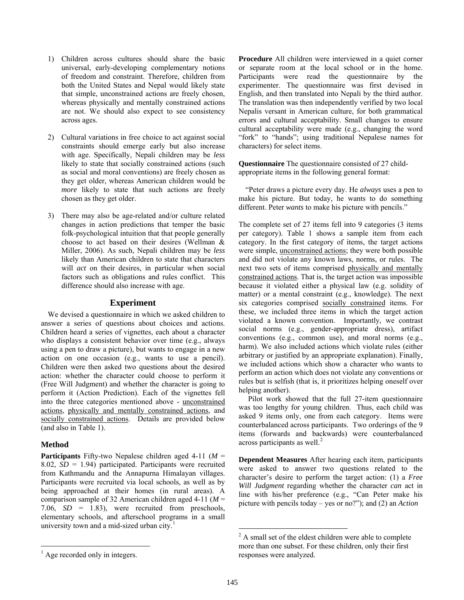- 1) Children across cultures should share the basic universal, early-developing complementary notions of freedom and constraint. Therefore, children from both the United States and Nepal would likely state that simple, unconstrained actions are freely chosen, whereas physically and mentally constrained actions are not. We should also expect to see consistency across ages.
- 2) Cultural variations in free choice to act against social constraints should emerge early but also increase with age. Specifically, Nepali children may be *less* likely to state that socially constrained actions (such as social and moral conventions) are freely chosen as they get older, whereas American children would be *more* likely to state that such actions are freely chosen as they get older.
- 3) There may also be age-related and/or culture related changes in action predictions that temper the basic folk-psychological intuition that that people generally choose to act based on their desires (Wellman & Miller, 2006). As such, Nepali children may be *less* likely than American children to state that characters will *act* on their desires, in particular when social factors such as obligations and rules conflict. This difference should also increase with age.

## **Experiment**

We devised a questionnaire in which we asked children to answer a series of questions about choices and actions. Children heard a series of vignettes, each about a character who displays a consistent behavior over time (e.g., always using a pen to draw a picture), but wants to engage in a new action on one occasion (e.g., wants to use a pencil). Children were then asked two questions about the desired action: whether the character could choose to perform it (Free Will Judgment) and whether the character is going to perform it (Action Prediction). Each of the vignettes fell into the three categories mentioned above - unconstrained actions, physically and mentally constrained actions, and socially constrained actions. Details are provided below (and also in Table 1).

# **Method**

<span id="page-2-1"></span> $\overline{a}$ 

**Participants** Fifty-two Nepalese children aged 4-11 (*M* = 8.02, *SD* = 1.94) participated. Participants were recruited from Kathmandu and the Annapurna Himalayan villages. Participants were recruited via local schools, as well as by being approached at their homes (in rural areas). A comparison sample of 32 American children aged 4-11 (*M* = 7.06,  $SD = 1.83$ ), were recruited from preschools, elementary schools, and afterschool programs in a small university town and a mid-sized urban city.<sup>[1](#page-2-0)</sup>

**Questionnaire** The questionnaire consisted of 27 childappropriate items in the following general format:

"Peter draws a picture every day. He *always* uses a pen to make his picture. But today, he wants to do something different. Peter *wants* to make his picture with pencils."

The complete set of 27 items fell into 9 categories (3 items per category). Table 1 shows a sample item from each category. In the first category of items, the target actions were simple, unconstrained actions; they were both possible and did not violate any known laws, norms, or rules. The next two sets of items comprised physically and mentally constrained actions. That is, the target action was impossible because it violated either a physical law (e.g. solidity of matter) or a mental constraint (e.g., knowledge). The next six categories comprised socially constrained items. For these, we included three items in which the target action violated a known convention. Importantly, we contrast social norms (e.g., gender-appropriate dress), artifact conventions (e.g., common use), and moral norms (e.g., harm). We also included actions which violate rules (either arbitrary or justified by an appropriate explanation). Finally, we included actions which show a character who wants to perform an action which does not violate any conventions or rules but is selfish (that is, it prioritizes helping oneself over helping another).

 Pilot work showed that the full 27-item questionnaire was too lengthy for young children. Thus, each child was asked 9 items only, one from each category. Items were counterbalanced across participants. Two orderings of the 9 items (forwards and backwards) were counterbalanced across participants as well. $<sup>2</sup>$  $<sup>2</sup>$  $<sup>2</sup>$ </sup>

**Dependent Measures** After hearing each item, participants were asked to answer two questions related to the character's desire to perform the target action: (1) a *Free Will Judgment* regarding whether the character *can* act in line with his/her preference (e.g., "Can Peter make his picture with pencils today – yes or no?"); and (2) an *Action*

 $\overline{a}$ 

**Procedure** All children were interviewed in a quiet corner or separate room at the local school or in the home. Participants were read the questionnaire by the experimenter. The questionnaire was first devised in English, and then translated into Nepali by the third author. The translation was then independently verified by two local Nepalis versant in American culture, for both grammatical errors and cultural acceptability. Small changes to ensure cultural acceptability were made (e.g., changing the word "fork" to "hands"; using traditional Nepalese names for characters) for select items.

 $2^2$  A small set of the eldest children were able to complete more than one subset. For these children, only their first responses were analyzed.

<span id="page-2-0"></span><sup>&</sup>lt;sup>1</sup> Age recorded only in integers.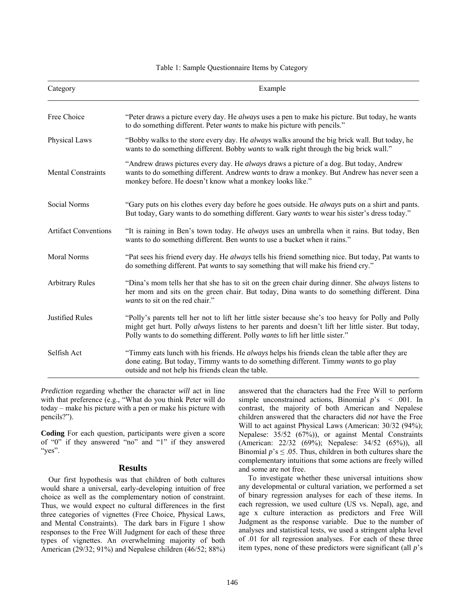### Table 1: Sample Questionnaire Items by Category

| Category                    | Example                                                                                                                                                                                                                                                                                            |
|-----------------------------|----------------------------------------------------------------------------------------------------------------------------------------------------------------------------------------------------------------------------------------------------------------------------------------------------|
| Free Choice                 | "Peter draws a picture every day. He <i>always</i> uses a pen to make his picture. But today, he wants<br>to do something different. Peter wants to make his picture with pencils."                                                                                                                |
| Physical Laws               | "Bobby walks to the store every day. He always walks around the big brick wall. But today, he<br>wants to do something different. Bobby <i>wants</i> to walk right through the big brick wall."                                                                                                    |
| Mental Constraints          | "Andrew draws pictures every day. He always draws a picture of a dog. But today, Andrew<br>wants to do something different. Andrew wants to draw a monkey. But Andrew has never seen a<br>monkey before. He doesn't know what a monkey looks like."                                                |
| Social Norms                | "Gary puts on his clothes every day before he goes outside. He <i>always</i> puts on a shirt and pants.<br>But today, Gary wants to do something different. Gary wants to wear his sister's dress today."                                                                                          |
| <b>Artifact Conventions</b> | "It is raining in Ben's town today. He always uses an umbrella when it rains. But today, Ben<br>wants to do something different. Ben wants to use a bucket when it rains."                                                                                                                         |
| Moral Norms                 | "Pat sees his friend every day. He always tells his friend something nice. But today, Pat wants to<br>do something different. Pat wants to say something that will make his friend cry."                                                                                                           |
| <b>Arbitrary Rules</b>      | "Dina's mom tells her that she has to sit on the green chair during dinner. She <i>always</i> listens to<br>her mom and sits on the green chair. But today, Dina wants to do something different. Dina<br>wants to sit on the red chair."                                                          |
| <b>Justified Rules</b>      | "Polly's parents tell her not to lift her little sister because she's too heavy for Polly and Polly<br>might get hurt. Polly <i>always</i> listens to her parents and doesn't lift her little sister. But today,<br>Polly wants to do something different. Polly wants to lift her little sister." |
| Selfish Act                 | "Timmy eats lunch with his friends. He always helps his friends clean the table after they are<br>done eating. But today, Timmy wants to do something different. Timmy wants to go play<br>outside and not help his friends clean the table.                                                       |

*Prediction* regarding whether the character *will* act in line with that preference (e.g., "What do you think Peter will do today – make his picture with a pen or make his picture with pencils?").

**Coding** For each question, participants were given a score of "0" if they answered "no" and "1" if they answered "yes".

### **Results**

 Our first hypothesis was that children of both cultures would share a universal, early-developing intuition of free choice as well as the complementary notion of constraint. Thus, we would expect no cultural differences in the first three categories of vignettes (Free Choice, Physical Laws, and Mental Constraints). The dark bars in Figure 1 show responses to the Free Will Judgment for each of these three types of vignettes. An overwhelming majority of both American (29/32; 91%) and Nepalese children (46/52; 88%) answered that the characters had the Free Will to perform simple unconstrained actions, Binomial *p*'s < .001. In contrast, the majority of both American and Nepalese children answered that the characters did *not* have the Free Will to act against Physical Laws (American: 30/32 (94%); Nepalese: 35/52 (67%)), or against Mental Constraints (American: 22/32 (69%); Nepalese: 34/52 (65%)), all Binomial  $p$ 's  $\leq$  0.05. Thus, children in both cultures share the complementary intuitions that some actions are freely willed and some are not free.

 To investigate whether these universal intuitions show any developmental or cultural variation, we performed a set of binary regression analyses for each of these items. In each regression, we used culture (US vs. Nepal), age, and age x culture interaction as predictors and Free Will Judgment as the response variable. Due to the number of analyses and statistical tests, we used a stringent alpha level of .01 for all regression analyses. For each of these three item types, none of these predictors were significant (all *p*'s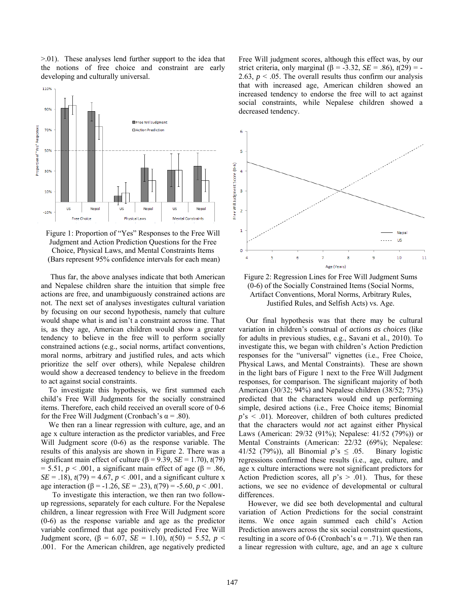>.01). These analyses lend further support to the idea that the notions of free choice and constraint are early developing and culturally universal.



Figure 1: Proportion of "Yes" Responses to the Free Will Judgment and Action Prediction Questions for the Free Choice, Physical Laws, and Mental Constraints Items (Bars represent 95% confidence intervals for each mean)

 Thus far, the above analyses indicate that both American and Nepalese children share the intuition that simple free actions are free, and unambiguously constrained actions are not. The next set of analyses investigates cultural variation by focusing on our second hypothesis, namely that culture would shape what is and isn't a constraint across time. That is, as they age, American children would show a greater tendency to believe in the free will to perform socially constrained actions (e.g., social norms, artifact conventions, moral norms, arbitrary and justified rules, and acts which prioritize the self over others), while Nepalese children would show a decreased tendency to believe in the freedom to act against social constraints.

 To investigate this hypothesis, we first summed each child's Free Will Judgments for the socially constrained items. Therefore, each child received an overall score of 0-6 for the Free Will Judgment (Cronbach's  $\alpha$  = .80).

 We then ran a linear regression with culture, age, and an age x culture interaction as the predictor variables, and Free Will Judgment score (0-6) as the response variable. The results of this analysis are shown in Figure 2. There was a significant main effect of culture ( $\beta$  = 9.39, *SE* = 1.70), *t*(79) = 5.51,  $p < .001$ , a significant main effect of age ( $\beta$  = .86, *SE* = .18),  $t(79) = 4.67$ ,  $p < .001$ , and a significant culture x age interaction ( $\beta$  = -1.26, *SE* = .23),  $t(79)$  = -5.60,  $p < .001$ .

 To investigate this interaction, we then ran two followup regressions, separately for each culture. For the Nepalese children, a linear regression with Free Will Judgment score (0-6) as the response variable and age as the predictor variable confirmed that age positively predicted Free Will Judgment score, (β = 6.07, *SE* = 1.10),  $t(50) = 5.52$ , *p* < .001. For the American children, age negatively predicted Free Will judgment scores, although this effect was, by our strict criteria, only marginal  $(6 = -3.32, SE = .86)$ ,  $t(29) = -$ 2.63,  $p < 0.05$ . The overall results thus confirm our analysis that with increased age, American children showed an increased tendency to endorse the free will to act against social constraints, while Nepalese children showed a decreased tendency.



Figure 2: Regression Lines for Free Will Judgment Sums (0-6) of the Socially Constrained Items (Social Norms, Artifact Conventions, Moral Norms, Arbitrary Rules, Justified Rules, and Selfish Acts) vs. Age.

 Our final hypothesis was that there may be cultural variation in children's construal of *actions as choices* (like for adults in previous studies, e.g., Savani et al., 2010). To investigate this, we began with children's Action Prediction responses for the "universal" vignettes (i.e., Free Choice, Physical Laws, and Mental Constraints). These are shown in the light bars of Figure 1 next to the Free Will Judgment responses, for comparison. The significant majority of both American (30/32; 94%) and Nepalese children (38/52; 73%) predicted that the characters would end up performing simple, desired actions (i.e., Free Choice items; Binomial *p*'s < .01). Moreover, children of both cultures predicted that the characters would *not* act against either Physical Laws (American: 29/32 (91%); Nepalese: 41/52 (79%)) or Mental Constraints (American: 22/32 (69%); Nepalese: 41/52 (79%)), all Binomial  $p$ 's  $\leq$  0.05. Binary logistic regressions confirmed these results (i.e., age, culture, and age x culture interactions were not significant predictors for Action Prediction scores, all  $p$ 's > .01). Thus, for these actions, we see no evidence of developmental or cultural differences.

 However, we did see both developmental and cultural variation of Action Predictions for the social constraint items. We once again summed each child's Action Prediction answers across the six social constraint questions, resulting in a score of 0-6 (Cronbach's  $\alpha$  = .71). We then ran a linear regression with culture, age, and an age x culture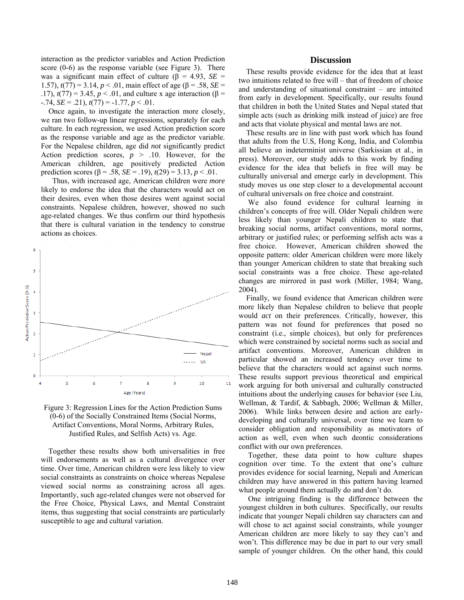interaction as the predictor variables and Action Prediction score (0-6) as the response variable (see Figure 3). There was a significant main effect of culture (β = 4.93, *SE* = 1.57),  $t(77) = 3.14$ ,  $p < .01$ , main effect of age (β = .58, *SE* = .17),  $t(77) = 3.45$ ,  $p < .01$ , and culture x age interaction (β =  $-0.74$ , *SE* = .21),  $t(77)$  =  $-1.77$ ,  $p < 0.01$ .

 Once again, to investigate the interaction more closely, we ran two follow-up linear regressions, separately for each culture. In each regression, we used Action prediction score as the response variable and age as the predictor variable. For the Nepalese children, age did *not* significantly predict Action prediction scores,  $p > .10$ . However, for the American children, age positively predicted Action prediction scores (β = .58, *SE* = .19), *t*(29) = 3.13, *p* < .01.

 Thus, with increased age, American children were *more* likely to endorse the idea that the characters would act on their desires, even when those desires went against social constraints. Nepalese children, however, showed no such age-related changes. We thus confirm our third hypothesis that there is cultural variation in the tendency to construe actions as choices.



Figure 3: Regression Lines for the Action Prediction Sums (0-6) of the Socially Constrained Items (Social Norms, Artifact Conventions, Moral Norms, Arbitrary Rules, Justified Rules, and Selfish Acts) vs. Age.

 Together these results show both universalities in free will endorsements as well as a cultural divergence over time. Over time, American children were less likely to view social constraints as constraints on choice whereas Nepalese viewed social norms as constraining across all ages. Importantly, such age-related changes were not observed for the Free Choice, Physical Laws, and Mental Constraint items, thus suggesting that social constraints are particularly susceptible to age and cultural variation.

### **Discussion**

 These results provide evidence for the idea that at least two intuitions related to free will – that of freedom of choice and understanding of situational constraint – are intuited from early in development. Specifically, our results found that children in both the United States and Nepal stated that simple acts (such as drinking milk instead of juice) are free and acts that violate physical and mental laws are not.

 These results are in line with past work which has found that adults from the U.S, Hong Kong, India, and Colombia all believe an indeterminist universe (Sarkissian et al., in press). Moreover, our study adds to this work by finding evidence for the idea that beliefs in free will may be culturally universal and emerge early in development. This study moves us one step closer to a developmental account of cultural universals on free choice and constraint.

 We also found evidence for cultural learning in children's concepts of free will. Older Nepali children were less likely than younger Nepali children to state that breaking social norms, artifact conventions, moral norms, arbitrary or justified rules; or performing selfish acts was a free choice. However, American children showed the opposite pattern: older American children were more likely than younger American children to state that breaking such social constraints was a free choice. These age-related changes are mirrored in past work (Miller, 1984; Wang, 2004).

 Finally, we found evidence that American children were more likely than Nepalese children to believe that people would *act* on their preferences. Critically, however, this pattern was not found for preferences that posed no constraint (i.e., simple choices), but only for preferences which were constrained by societal norms such as social and artifact conventions. Moreover, American children in particular showed an increased tendency over time to believe that the characters would act against such norms. These results support previous theoretical and empirical work arguing for both universal and culturally constructed intuitions about the underlying causes for behavior (see Liu, Wellman, & Tardif, & Sabbagh, 2006; Wellman & Miller, 2006). While links between desire and action are earlydeveloping and culturally universal, over time we learn to consider obligation and responsibility as motivators of action as well, even when such deontic considerations conflict with our own preferences.

 Together, these data point to how culture shapes cognition over time. To the extent that one's culture provides evidence for social learning, Nepali and American children may have answered in this pattern having learned what people around them actually do and don't do.

 One intriguing finding is the difference between the youngest children in both cultures. Specifically, our results indicate that younger Nepali children say characters can and will chose to act against social constraints, while younger American children are more likely to say they can't and won't. This difference may be due in part to our very small sample of younger children. On the other hand, this could